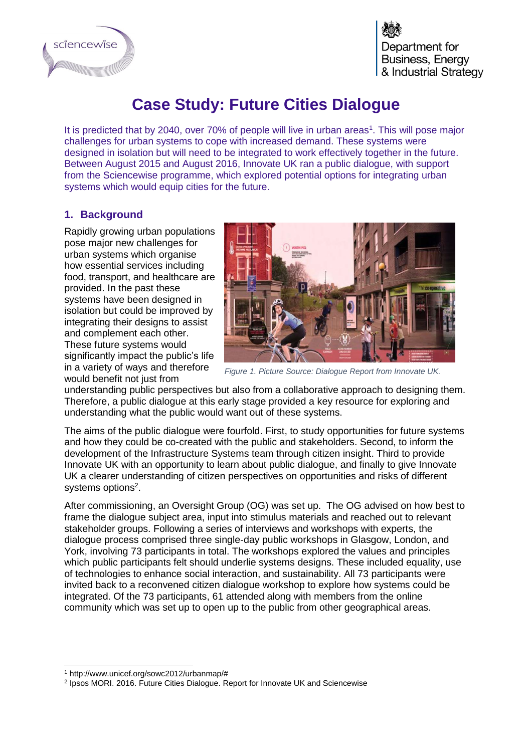

Department for **Business, Energy** & Industrial Strategy

## **Case Study: Future Cities Dialogue**

It is predicted that by 2040, over 70% of people will live in urban areas<sup>1</sup>. This will pose major challenges for urban systems to cope with increased demand. These systems were designed in isolation but will need to be integrated to work effectively together in the future. Between August 2015 and August 2016, Innovate UK ran a public dialogue, with support from the Sciencewise programme, which explored potential options for integrating urban systems which would equip cities for the future.

## **1. Background**

Rapidly growing urban populations pose major new challenges for urban systems which organise how essential services including food, transport, and healthcare are provided. In the past these systems have been designed in isolation but could be improved by integrating their designs to assist and complement each other. These future systems would significantly impact the public's life in a variety of ways and therefore would benefit not just from



*Figure 1. Picture Source: Dialogue Report from Innovate UK.*

understanding public perspectives but also from a collaborative approach to designing them. Therefore, a public dialogue at this early stage provided a key resource for exploring and understanding what the public would want out of these systems.

The aims of the public dialogue were fourfold. First, to study opportunities for future systems and how they could be co-created with the public and stakeholders. Second, to inform the development of the Infrastructure Systems team through citizen insight. Third to provide Innovate UK with an opportunity to learn about public dialogue, and finally to give Innovate UK a clearer understanding of citizen perspectives on opportunities and risks of different systems options<sup>2</sup>.

After commissioning, an Oversight Group (OG) was set up. The OG advised on how best to frame the dialogue subject area, input into stimulus materials and reached out to relevant stakeholder groups. Following a series of interviews and workshops with experts, the dialogue process comprised three single-day public workshops in Glasgow, London, and York, involving 73 participants in total. The workshops explored the values and principles which public participants felt should underlie systems designs. These included equality, use of technologies to enhance social interaction, and sustainability. All 73 participants were invited back to a reconvened citizen dialogue workshop to explore how systems could be integrated. Of the 73 participants, 61 attended along with members from the online community which was set up to open up to the public from other geographical areas.

<sup>-</sup><sup>1</sup> http://www.unicef.org/sowc2012/urbanmap/#

<sup>2</sup> Ipsos MORI. 2016. Future Cities Dialogue. Report for Innovate UK and Sciencewise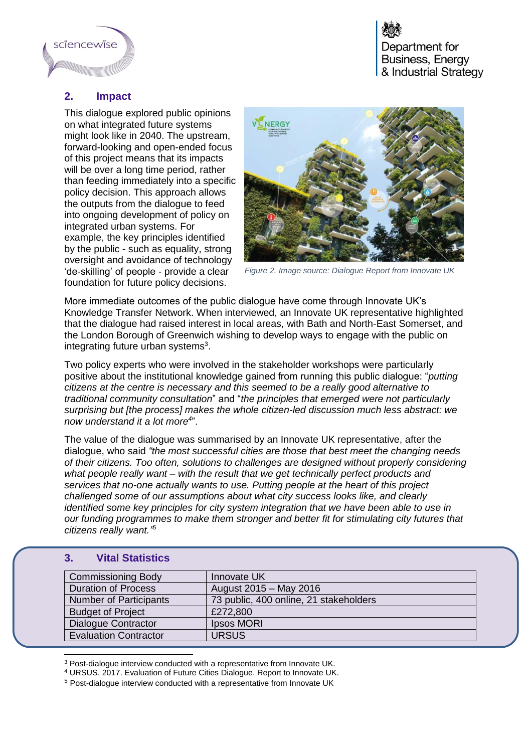

Department for **Business, Energy** & Industrial Strategy

## **2. Impact**

This dialogue explored public opinions on what integrated future systems might look like in 2040. The upstream, forward-looking and open-ended focus of this project means that its impacts will be over a long time period, rather than feeding immediately into a specific policy decision. This approach allows the outputs from the dialogue to feed into ongoing development of policy on integrated urban systems. For example, the key principles identified by the public - such as equality, strong oversight and avoidance of technology 'de-skilling' of people - provide a clear foundation for future policy decisions.



*Figure 2. Image source: Dialogue Report from Innovate UK*

More immediate outcomes of the public dialogue have come through Innovate UK's Knowledge Transfer Network. When interviewed, an Innovate UK representative highlighted that the dialogue had raised interest in local areas, with Bath and North-East Somerset, and the London Borough of Greenwich wishing to develop ways to engage with the public on integrating future urban systems<sup>3</sup>.

Two policy experts who were involved in the stakeholder workshops were particularly positive about the institutional knowledge gained from running this public dialogue: "*putting citizens at the centre is necessary and this seemed to be a really good alternative to traditional community consultation*" and "*the principles that emerged were not particularly surprising but [the process] makes the whole citizen-led discussion much less abstract: we now understand it a lot more<sup>4</sup>* ".

The value of the dialogue was summarised by an Innovate UK representative, after the dialogue, who said *"the most successful cities are those that best meet the changing needs of their citizens. Too often, solutions to challenges are designed without properly considering what people really want – with the result that we get technically perfect products and services that no-one actually wants to use. Putting people at the heart of this project challenged some of our assumptions about what city success looks like, and clearly identified some key principles for city system integration that we have been able to use in our funding programmes to make them stronger and better fit for stimulating city futures that citizens really want." 5*

## **3. Vital Statistics**

| <b>Commissioning Body</b>     | Innovate UK                            |
|-------------------------------|----------------------------------------|
| <b>Duration of Process</b>    | August 2015 - May 2016                 |
| <b>Number of Participants</b> | 73 public, 400 online, 21 stakeholders |
| <b>Budget of Project</b>      | £272,800                               |
| <b>Dialogue Contractor</b>    | Ipsos MORI                             |
| <b>Evaluation Contractor</b>  | <b>URSUS</b>                           |

<sup>-</sup><sup>3</sup> Post-dialogue interview conducted with a representative from Innovate UK.

<sup>4</sup> URSUS. 2017. Evaluation of Future Cities Dialogue. Report to Innovate UK.

<sup>5</sup> Post-dialogue interview conducted with a representative from Innovate UK